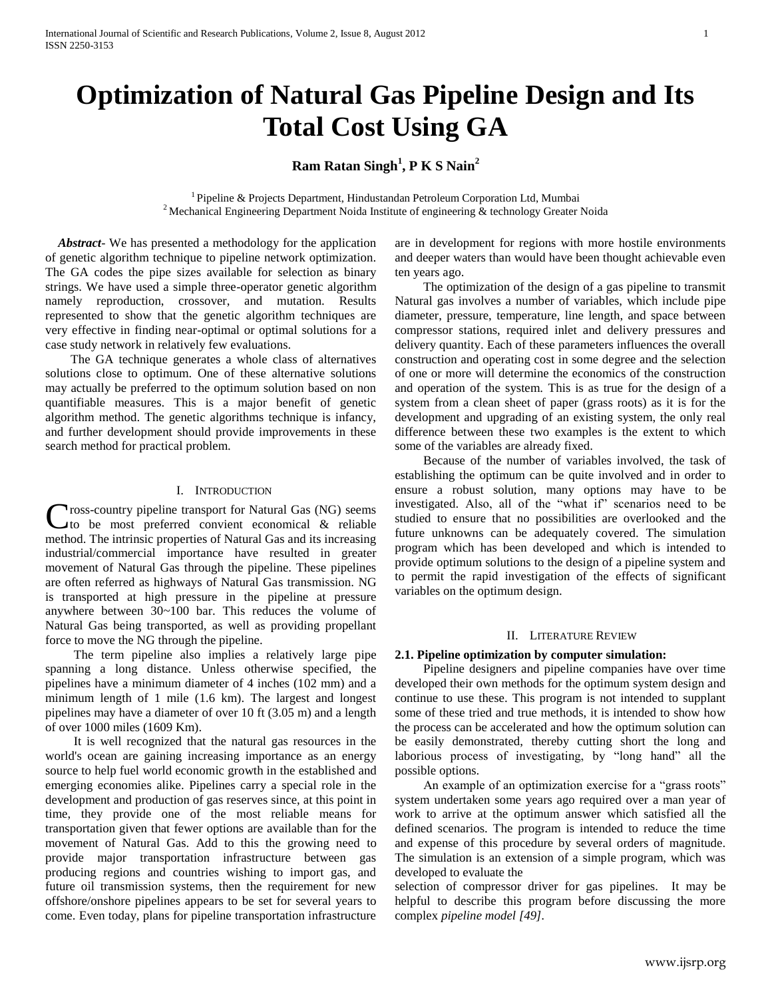# **Optimization of Natural Gas Pipeline Design and Its Total Cost Using GA**

# **Ram Ratan Singh<sup>1</sup> , P K S Nain<sup>2</sup>**

<sup>1</sup> Pipeline & Projects Department, Hindustandan Petroleum Corporation Ltd, Mumbai <sup>2</sup> Mechanical Engineering Department Noida Institute of engineering & technology Greater Noida

 *Abstract*- We has presented a methodology for the application of genetic algorithm technique to pipeline network optimization. The GA codes the pipe sizes available for selection as binary strings. We have used a simple three-operator genetic algorithm namely reproduction, crossover, and mutation. Results represented to show that the genetic algorithm techniques are very effective in finding near-optimal or optimal solutions for a case study network in relatively few evaluations.

 The GA technique generates a whole class of alternatives solutions close to optimum. One of these alternative solutions may actually be preferred to the optimum solution based on non quantifiable measures. This is a major benefit of genetic algorithm method. The genetic algorithms technique is infancy, and further development should provide improvements in these search method for practical problem.

### I. INTRODUCTION

ross-country pipeline transport for Natural Gas (NG) seems to be most preferred convient economical & reliable Cross-country pipeline transport for Natural Gas (NG) seems<br>to be most preferred convient economical & reliable<br>method. The intrinsic properties of Natural Gas and its increasing industrial/commercial importance have resulted in greater movement of Natural Gas through the pipeline. These pipelines are often referred as highways of Natural Gas transmission. NG is transported at high pressure in the pipeline at pressure anywhere between 30~100 bar. This reduces the volume of Natural Gas being transported, as well as providing propellant force to move the NG through the pipeline.

 The term pipeline also implies a relatively large pipe spanning a long distance. Unless otherwise specified, the pipelines have a minimum diameter of 4 inches (102 mm) and a minimum length of 1 mile (1.6 km). The largest and longest pipelines may have a diameter of over 10 ft (3.05 m) and a length of over 1000 miles (1609 Km).

 It is well recognized that the natural gas resources in the world's ocean are gaining increasing importance as an energy source to help fuel world economic growth in the established and emerging economies alike. Pipelines carry a special role in the development and production of gas reserves since, at this point in time, they provide one of the most reliable means for transportation given that fewer options are available than for the movement of Natural Gas. Add to this the growing need to provide major transportation infrastructure between gas producing regions and countries wishing to import gas, and future oil transmission systems, then the requirement for new offshore/onshore pipelines appears to be set for several years to come. Even today, plans for pipeline transportation infrastructure

are in development for regions with more hostile environments and deeper waters than would have been thought achievable even ten years ago.

 The optimization of the design of a gas pipeline to transmit Natural gas involves a number of variables, which include pipe diameter, pressure, temperature, line length, and space between compressor stations, required inlet and delivery pressures and delivery quantity. Each of these parameters influences the overall construction and operating cost in some degree and the selection of one or more will determine the economics of the construction and operation of the system. This is as true for the design of a system from a clean sheet of paper (grass roots) as it is for the development and upgrading of an existing system, the only real difference between these two examples is the extent to which some of the variables are already fixed.

 Because of the number of variables involved, the task of establishing the optimum can be quite involved and in order to ensure a robust solution, many options may have to be investigated. Also, all of the "what if" scenarios need to be studied to ensure that no possibilities are overlooked and the future unknowns can be adequately covered. The simulation program which has been developed and which is intended to provide optimum solutions to the design of a pipeline system and to permit the rapid investigation of the effects of significant variables on the optimum design.

# II. LITERATURE REVIEW

### **2.1. Pipeline optimization by computer simulation:**

 Pipeline designers and pipeline companies have over time developed their own methods for the optimum system design and continue to use these. This program is not intended to supplant some of these tried and true methods, it is intended to show how the process can be accelerated and how the optimum solution can be easily demonstrated, thereby cutting short the long and laborious process of investigating, by "long hand" all the possible options.

 An example of an optimization exercise for a "grass roots" system undertaken some years ago required over a man year of work to arrive at the optimum answer which satisfied all the defined scenarios. The program is intended to reduce the time and expense of this procedure by several orders of magnitude. The simulation is an extension of a simple program, which was developed to evaluate the

selection of compressor driver for gas pipelines. It may be helpful to describe this program before discussing the more complex *pipeline model [49].*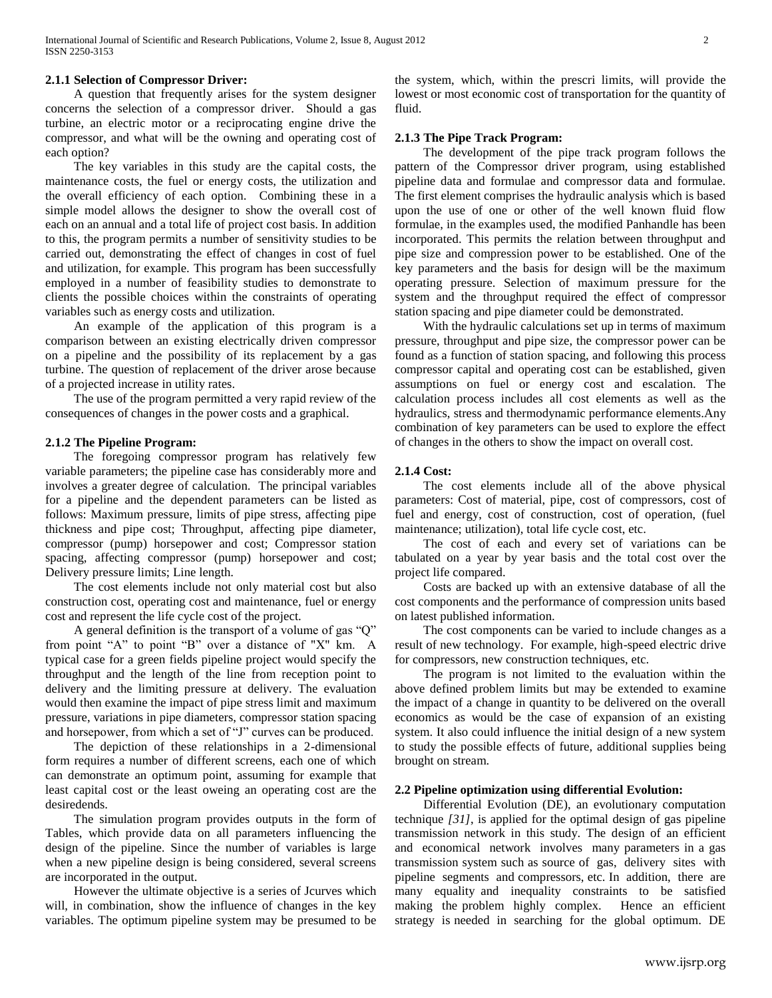# **2.1.1 Selection of Compressor Driver:**

 A question that frequently arises for the system designer concerns the selection of a compressor driver. Should a gas turbine, an electric motor or a reciprocating engine drive the compressor, and what will be the owning and operating cost of each option?

 The key variables in this study are the capital costs, the maintenance costs, the fuel or energy costs, the utilization and the overall efficiency of each option. Combining these in a simple model allows the designer to show the overall cost of each on an annual and a total life of project cost basis. In addition to this, the program permits a number of sensitivity studies to be carried out, demonstrating the effect of changes in cost of fuel and utilization, for example. This program has been successfully employed in a number of feasibility studies to demonstrate to clients the possible choices within the constraints of operating variables such as energy costs and utilization.

 An example of the application of this program is a comparison between an existing electrically driven compressor on a pipeline and the possibility of its replacement by a gas turbine. The question of replacement of the driver arose because of a projected increase in utility rates.

 The use of the program permitted a very rapid review of the consequences of changes in the power costs and a graphical.

# **2.1.2 The Pipeline Program:**

 The foregoing compressor program has relatively few variable parameters; the pipeline case has considerably more and involves a greater degree of calculation. The principal variables for a pipeline and the dependent parameters can be listed as follows: Maximum pressure, limits of pipe stress, affecting pipe thickness and pipe cost; Throughput, affecting pipe diameter, compressor (pump) horsepower and cost; Compressor station spacing, affecting compressor (pump) horsepower and cost; Delivery pressure limits; Line length.

 The cost elements include not only material cost but also construction cost, operating cost and maintenance, fuel or energy cost and represent the life cycle cost of the project.

 A general definition is the transport of a volume of gas "Q" from point "A" to point "B" over a distance of "X" km. A typical case for a green fields pipeline project would specify the throughput and the length of the line from reception point to delivery and the limiting pressure at delivery. The evaluation would then examine the impact of pipe stress limit and maximum pressure, variations in pipe diameters, compressor station spacing and horsepower, from which a set of "J" curves can be produced.

 The depiction of these relationships in a 2-dimensional form requires a number of different screens, each one of which can demonstrate an optimum point, assuming for example that least capital cost or the least oweing an operating cost are the desiredends.

 The simulation program provides outputs in the form of Tables, which provide data on all parameters influencing the design of the pipeline. Since the number of variables is large when a new pipeline design is being considered, several screens are incorporated in the output.

 However the ultimate objective is a series of Jcurves which will, in combination, show the influence of changes in the key variables. The optimum pipeline system may be presumed to be the system, which, within the prescri limits, will provide the lowest or most economic cost of transportation for the quantity of fluid.

# **2.1.3 The Pipe Track Program:**

 The development of the pipe track program follows the pattern of the Compressor driver program, using established pipeline data and formulae and compressor data and formulae. The first element comprises the hydraulic analysis which is based upon the use of one or other of the well known fluid flow formulae, in the examples used, the modified Panhandle has been incorporated. This permits the relation between throughput and pipe size and compression power to be established. One of the key parameters and the basis for design will be the maximum operating pressure. Selection of maximum pressure for the system and the throughput required the effect of compressor station spacing and pipe diameter could be demonstrated.

 With the hydraulic calculations set up in terms of maximum pressure, throughput and pipe size, the compressor power can be found as a function of station spacing, and following this process compressor capital and operating cost can be established, given assumptions on fuel or energy cost and escalation. The calculation process includes all cost elements as well as the hydraulics, stress and thermodynamic performance elements.Any combination of key parameters can be used to explore the effect of changes in the others to show the impact on overall cost.

# **2.1.4 Cost:**

 The cost elements include all of the above physical parameters: Cost of material, pipe, cost of compressors, cost of fuel and energy, cost of construction, cost of operation, (fuel maintenance; utilization), total life cycle cost, etc.

 The cost of each and every set of variations can be tabulated on a year by year basis and the total cost over the project life compared.

 Costs are backed up with an extensive database of all the cost components and the performance of compression units based on latest published information.

 The cost components can be varied to include changes as a result of new technology. For example, high-speed electric drive for compressors, new construction techniques, etc.

 The program is not limited to the evaluation within the above defined problem limits but may be extended to examine the impact of a change in quantity to be delivered on the overall economics as would be the case of expansion of an existing system. It also could influence the initial design of a new system to study the possible effects of future, additional supplies being brought on stream.

# **2.2 Pipeline optimization using differential Evolution:**

 Differential Evolution (DE), an evolutionary computation technique *[31]*, is applied for the optimal design of gas pipeline transmission network in this study. The design of an efficient and economical network involves many parameters in a gas transmission system such as source of gas, delivery sites with pipeline segments and compressors, etc. In addition, there are many equality and inequality constraints to be satisfied making the problem highly complex. Hence an efficient strategy is needed in searching for the global optimum. DE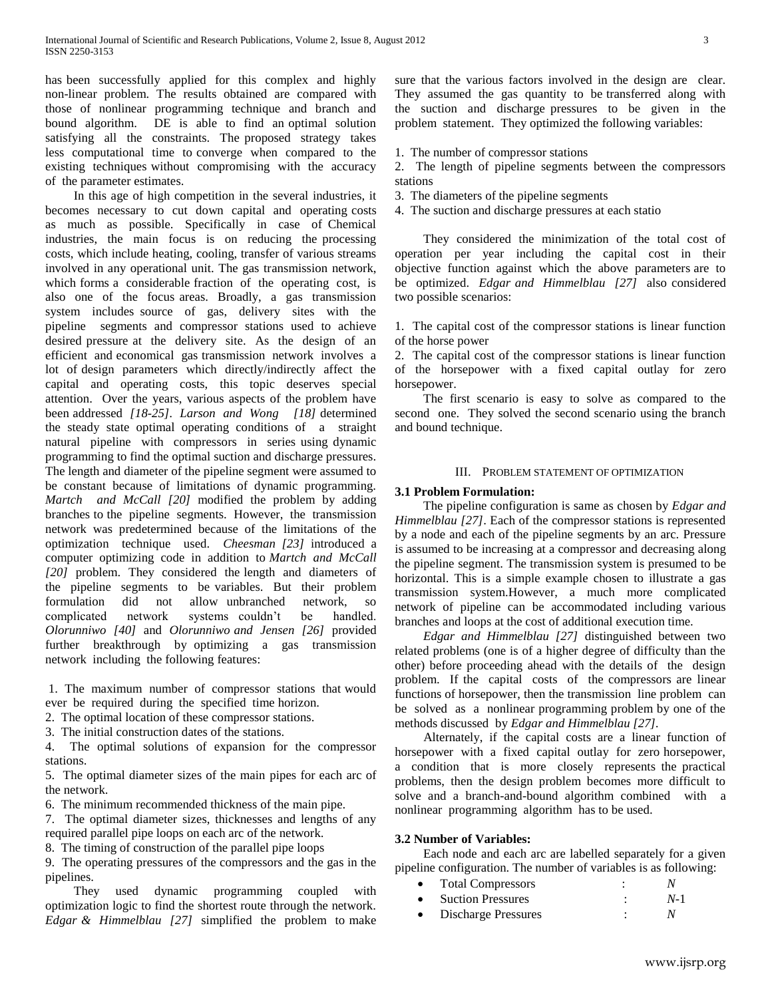has been successfully applied for this complex and highly non-linear problem. The results obtained are compared with those of nonlinear programming technique and branch and bound algorithm. DE is able to find an optimal solution satisfying all the constraints. The proposed strategy takes less computational time to converge when compared to the existing techniques without compromising with the accuracy of the parameter estimates.

 In this age of high competition in the several industries, it becomes necessary to cut down capital and operating costs as much as possible. Specifically in case of Chemical industries, the main focus is on reducing the processing costs, which include heating, cooling, transfer of various streams involved in any operational unit. The gas transmission network, which forms a considerable fraction of the operating cost, is also one of the focus areas. Broadly, a gas transmission system includes source of gas, delivery sites with the pipeline segments and compressor stations used to achieve desired pressure at the delivery site. As the design of an efficient and economical gas transmission network involves a lot of design parameters which directly/indirectly affect the capital and operating costs, this topic deserves special attention. Over the years, various aspects of the problem have been addressed *[18-25]. Larson and Wong [18]* determined the steady state optimal operating conditions of a straight natural pipeline with compressors in series using dynamic programming to find the optimal suction and discharge pressures. The length and diameter of the pipeline segment were assumed to be constant because of limitations of dynamic programming. *Martch and McCall [20]* modified the problem by adding branches to the pipeline segments. However, the transmission network was predetermined because of the limitations of the optimization technique used. *Cheesman [23]* introduced a computer optimizing code in addition to *Martch and McCall [20]* problem. They considered the length and diameters of the pipeline segments to be variables. But their problem formulation did not allow unbranched network, so complicated network systems couldn't be handled. *Olorunniwo [40]* and *Olorunniwo and Jensen [26]* provided further breakthrough by optimizing a gas transmission network including the following features:

1. The maximum number of compressor stations that would ever be required during the specified time horizon.

2. The optimal location of these compressor stations.

3. The initial construction dates of the stations.

4. The optimal solutions of expansion for the compressor stations.

5. The optimal diameter sizes of the main pipes for each arc of the network.

6. The minimum recommended thickness of the main pipe.

7. The optimal diameter sizes, thicknesses and lengths of any required parallel pipe loops on each arc of the network.

8. The timing of construction of the parallel pipe loops

9. The operating pressures of the compressors and the gas in the pipelines.

 They used dynamic programming coupled with optimization logic to find the shortest route through the network. *Edgar & Himmelblau [27]* simplified the problem to make sure that the various factors involved in the design are clear. They assumed the gas quantity to be transferred along with the suction and discharge pressures to be given in the problem statement. They optimized the following variables:

1. The number of compressor stations

2. The length of pipeline segments between the compressors stations

- 3. The diameters of the pipeline segments
- 4. The suction and discharge pressures at each statio

 They considered the minimization of the total cost of operation per year including the capital cost in their objective function against which the above parameters are to be optimized. *Edgar and Himmelblau [27]* also considered two possible scenarios:

1. The capital cost of the compressor stations is linear function of the horse power

2. The capital cost of the compressor stations is linear function of the horsepower with a fixed capital outlay for zero horsepower.

 The first scenario is easy to solve as compared to the second one. They solved the second scenario using the branch and bound technique.

# III. PROBLEM STATEMENT OF OPTIMIZATION

# **3.1 Problem Formulation:**

 The pipeline configuration is same as chosen by *Edgar and Himmelblau [27]*. Each of the compressor stations is represented by a node and each of the pipeline segments by an arc. Pressure is assumed to be increasing at a compressor and decreasing along the pipeline segment. The transmission system is presumed to be horizontal. This is a simple example chosen to illustrate a gas transmission system.However, a much more complicated network of pipeline can be accommodated including various branches and loops at the cost of additional execution time.

 *Edgar and Himmelblau [27]* distinguished between two related problems (one is of a higher degree of difficulty than the other) before proceeding ahead with the details of the design problem. If the capital costs of the compressors are linear functions of horsepower, then the transmission line problem can be solved as a nonlinear programming problem by one of the methods discussed by *Edgar and Himmelblau [27].*

 Alternately, if the capital costs are a linear function of horsepower with a fixed capital outlay for zero horsepower, a condition that is more closely represents the practical problems, then the design problem becomes more difficult to solve and a branch-and-bound algorithm combined with a nonlinear programming algorithm has to be used.

# **3.2 Number of Variables:**

 Each node and each arc are labelled separately for a given pipeline configuration. The number of variables is as following:

- Total Compressors : *N*
- Suction Pressures : *N*-1
- Discharge Pressures : *N*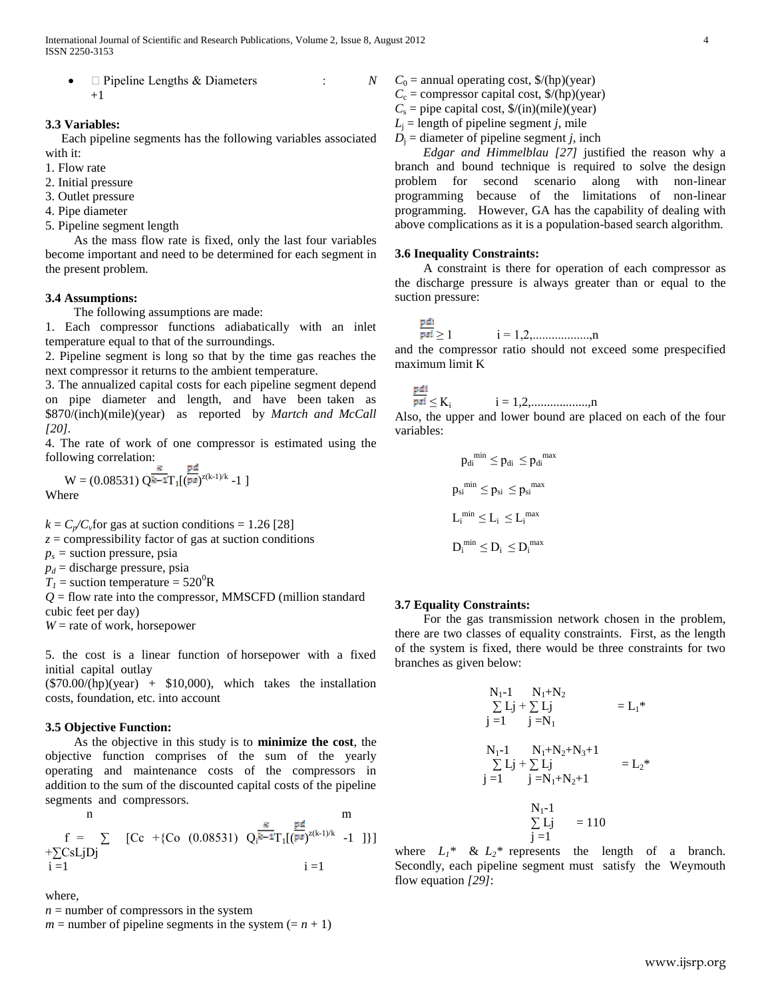Pipeline Lengths & Diameters : *N*  $+1$ 

# **3.3 Variables:**

 Each pipeline segments has the following variables associated with it:

- 1. Flow rate
- 2. Initial pressure
- 3. Outlet pressure
- 4. Pipe diameter
- 5. Pipeline segment length

 As the mass flow rate is fixed, only the last four variables become important and need to be determined for each segment in the present problem.

# **3.4 Assumptions:**

The following assumptions are made:

1. Each compressor functions adiabatically with an inlet temperature equal to that of the surroundings.

2. Pipeline segment is long so that by the time gas reaches the next compressor it returns to the ambient temperature.

3. The annualized capital costs for each pipeline segment depend on pipe diameter and length, and have been taken as \$870/(inch)(mile)(year) as reported by *Martch and McCall [20].*

4. The rate of work of one compressor is estimated using the following correlation:

 $W = (0.08531) Q^{k-1}T_1[(\overline{ps})^{z(k-1)/k} - 1]$ Where

 $k = C_p/C_v$  for gas at suction conditions = 1.26 [28]

 $z =$  compressibility factor of gas at suction conditions

 $p_s$  = suction pressure, psia

 $p_d$  = discharge pressure, psia

 $T<sub>I</sub>$  = suction temperature = 520<sup>0</sup>R

 $Q =$  flow rate into the compressor, MMSCFD (million standard cubic feet per day)

*W* = rate of work, horsepower

5. the cost is a linear function of horsepower with a fixed initial capital outlay

 $($70.00/(hp)(year) + $10,000)$ , which takes the installation costs, foundation, etc. into account

#### **3.5 Objective Function:**

 As the objective in this study is to **minimize the cost**, the objective function comprises of the sum of the yearly operating and maintenance costs of the compressors in addition to the sum of the discounted capital costs of the pipeline segments and compressors.

n  
\n
$$
f = \sum_{i=1}^{n} [Cc + {Co (0.08531) Q_i^{k-i}T_1[(\mathfrak{ps})^{z(k-1)/k} -1 ]}]
$$
  
\n $i = 1$ 

where,

 $n =$  number of compressors in the system

 $m =$  number of pipeline segments in the system  $(= n + 1)$ 

- *N*  $C_0$  = annual operating cost,  $\frac{\sqrt{p}}{2}$  (hp)(year)
	- $C_c$  = compressor capital cost,  $\frac{\sqrt{p}}{2}$  (hp)(year)
	- $C_s$  = pipe capital cost,  $\frac{\sqrt{(\text{in})(\text{mile})(\text{year})}}{(\text{in})(\text{year})}$
	- $L<sub>i</sub>$  = length of pipeline segment *j*, mile
	- $D_i$  = diameter of pipeline segment *j*, inch

 *Edgar and Himmelblau [27]* justified the reason why a branch and bound technique is required to solve the design problem for second scenario along with non-linear programming because of the limitations of non-linear programming. However, GA has the capability of dealing with above complications as it is a population-based search algorithm.

#### **3.6 Inequality Constraints:**

 A constraint is there for operation of each compressor as the discharge pressure is always greater than or equal to the suction pressure:

$$
\frac{pdi}{psi} \ge 1 \qquad \qquad i = 1, 2, \dots, n
$$

and the compressor ratio should not exceed some prespecified maximum limit K

pdi

$$
\overline{\mathbf{psi}} \leq \mathbf{K}_i \qquad \qquad i = 1, 2, \dots, m
$$

Also, the upper and lower bound are placed on each of the four variables:

$$
\begin{aligned} p_{di}^{min} &\leq p_{di} \leq {p_{di}}^{max} \\ p_{si}^{min} &\leq p_{si} \leq {p_{si}}^{max} \\ L_i^{min} &\leq L_i \leq L_i^{max} \\ D_i^{min} &\leq D_i \leq D_i^{max} \end{aligned}
$$

#### **3.7 Equality Constraints:**

 For the gas transmission network chosen in the problem, there are two classes of equality constraints. First, as the length of the system is fixed, there would be three constraints for two branches as given below:

$$
N_{1-1} N_{1} + N_{2}
$$
  
\n
$$
\sum L j + \sum L j
$$
  
\n
$$
j = 1 \t j = N_{1}
$$
  
\n
$$
N_{1-1} N_{1} + N_{2} + N_{3} + 1
$$
  
\n
$$
\sum L j + \sum L j
$$
  
\n
$$
j = 1 \t j = N_{1} + N_{2} + 1
$$
  
\n
$$
N_{1-1}
$$
  
\n
$$
\sum L j = 110
$$
  
\n
$$
j = 1
$$

where  $L_1^*$  &  $L_2^*$  represents the length of a branch. Secondly, each pipeline segment must satisfy the Weymouth flow equation *[29]*: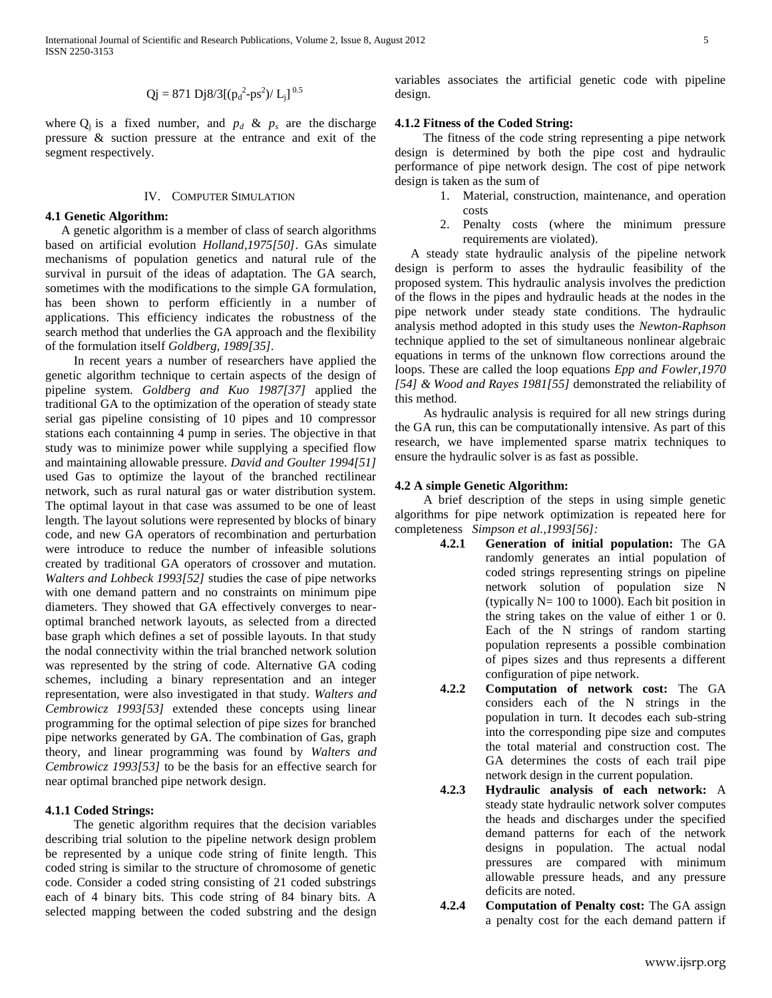$$
Qj = 871 \text{ Dj}8/3[(p_d^2 - ps^2)/L_j]^{0.5}
$$

where  $Q_j$  is a fixed number, and  $p_d$  &  $p_s$  are the discharge pressure & suction pressure at the entrance and exit of the segment respectively.

# IV. COMPUTER SIMULATION

# **4.1 Genetic Algorithm:**

 A genetic algorithm is a member of class of search algorithms based on artificial evolution *Holland,1975[50]*. GAs simulate mechanisms of population genetics and natural rule of the survival in pursuit of the ideas of adaptation. The GA search, sometimes with the modifications to the simple GA formulation, has been shown to perform efficiently in a number of applications. This efficiency indicates the robustness of the search method that underlies the GA approach and the flexibility of the formulation itself *Goldberg, 1989[35].*

 In recent years a number of researchers have applied the genetic algorithm technique to certain aspects of the design of pipeline system. *Goldberg and Kuo 1987[37]* applied the traditional GA to the optimization of the operation of steady state serial gas pipeline consisting of 10 pipes and 10 compressor stations each containning 4 pump in series. The objective in that study was to minimize power while supplying a specified flow and maintaining allowable pressure. *David and Goulter 1994[51]* used Gas to optimize the layout of the branched rectilinear network, such as rural natural gas or water distribution system. The optimal layout in that case was assumed to be one of least length. The layout solutions were represented by blocks of binary code, and new GA operators of recombination and perturbation were introduce to reduce the number of infeasible solutions created by traditional GA operators of crossover and mutation. *Walters and Lohbeck 1993[52]* studies the case of pipe networks with one demand pattern and no constraints on minimum pipe diameters. They showed that GA effectively converges to nearoptimal branched network layouts, as selected from a directed base graph which defines a set of possible layouts. In that study the nodal connectivity within the trial branched network solution was represented by the string of code. Alternative GA coding schemes, including a binary representation and an integer representation, were also investigated in that study. *Walters and Cembrowicz 1993[53]* extended these concepts using linear programming for the optimal selection of pipe sizes for branched pipe networks generated by GA. The combination of Gas, graph theory, and linear programming was found by *Walters and Cembrowicz 1993[53]* to be the basis for an effective search for near optimal branched pipe network design.

# **4.1.1 Coded Strings:**

 The genetic algorithm requires that the decision variables describing trial solution to the pipeline network design problem be represented by a unique code string of finite length. This coded string is similar to the structure of chromosome of genetic code. Consider a coded string consisting of 21 coded substrings each of 4 binary bits. This code string of 84 binary bits. A selected mapping between the coded substring and the design variables associates the artificial genetic code with pipeline design.

# **4.1.2 Fitness of the Coded String:**

 The fitness of the code string representing a pipe network design is determined by both the pipe cost and hydraulic performance of pipe network design. The cost of pipe network design is taken as the sum of

- 1. Material, construction, maintenance, and operation costs
- 2. Penalty costs (where the minimum pressure requirements are violated).

 A steady state hydraulic analysis of the pipeline network design is perform to asses the hydraulic feasibility of the proposed system. This hydraulic analysis involves the prediction of the flows in the pipes and hydraulic heads at the nodes in the pipe network under steady state conditions. The hydraulic analysis method adopted in this study uses the *Newton-Raphson* technique applied to the set of simultaneous nonlinear algebraic equations in terms of the unknown flow corrections around the loops. These are called the loop equations *Epp and Fowler,1970 [54] & Wood and Rayes 1981[55]* demonstrated the reliability of this method.

 As hydraulic analysis is required for all new strings during the GA run, this can be computationally intensive. As part of this research, we have implemented sparse matrix techniques to ensure the hydraulic solver is as fast as possible.

### **4.2 A simple Genetic Algorithm:**

 A brief description of the steps in using simple genetic algorithms for pipe network optimization is repeated here for completeness *Simpson et al.,1993[56]:*

- **4.2.1 Generation of initial population:** The GA randomly generates an intial population of coded strings representing strings on pipeline network solution of population size N (typically  $N= 100$  to 1000). Each bit position in the string takes on the value of either 1 or 0. Each of the N strings of random starting population represents a possible combination of pipes sizes and thus represents a different configuration of pipe network.
- **4.2.2 Computation of network cost:** The GA considers each of the N strings in the population in turn. It decodes each sub-string into the corresponding pipe size and computes the total material and construction cost. The GA determines the costs of each trail pipe network design in the current population.
- **4.2.3 Hydraulic analysis of each network:** A steady state hydraulic network solver computes the heads and discharges under the specified demand patterns for each of the network designs in population. The actual nodal pressures are compared with minimum allowable pressure heads, and any pressure deficits are noted.
- **4.2.4 Computation of Penalty cost:** The GA assign a penalty cost for the each demand pattern if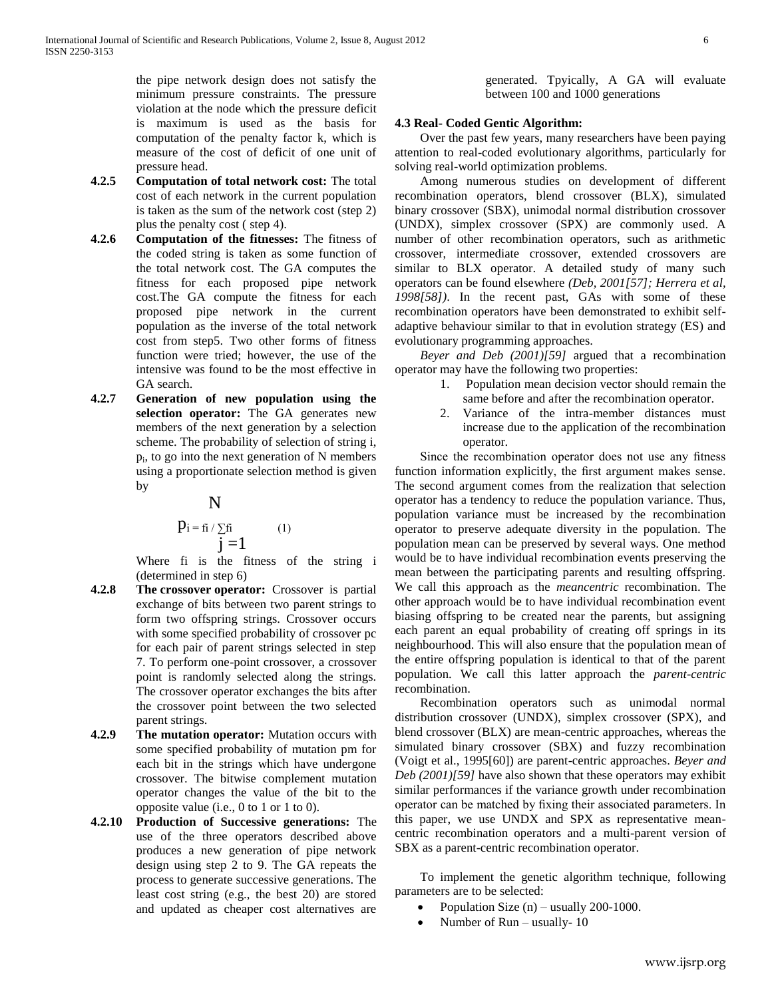the pipe network design does not satisfy the minimum pressure constraints. The pressure violation at the node which the pressure deficit is maximum is used as the basis for computation of the penalty factor k, which is measure of the cost of deficit of one unit of pressure head.

- **4.2.5 Computation of total network cost:** The total cost of each network in the current population is taken as the sum of the network cost (step 2) plus the penalty cost ( step 4).
- **4.2.6 Computation of the fitnesses:** The fitness of the coded string is taken as some function of the total network cost. The GA computes the fitness for each proposed pipe network cost.The GA compute the fitness for each proposed pipe network in the current population as the inverse of the total network cost from step5. Two other forms of fitness function were tried; however, the use of the intensive was found to be the most effective in GA search.
- **4.2.7 Generation of new population using the selection operator:** The GA generates new members of the next generation by a selection scheme. The probability of selection of string i, pi , to go into the next generation of N members using a proportionate selection method is given by

$$
\mathbf{N}^{\mathbf{r}}
$$

$$
p_i = f_i / \sum_{j=1}^{f_i}
$$
 (1)

Where fi is the fitness of the string i (determined in step 6)

- **4.2.8 The crossover operator:** Crossover is partial exchange of bits between two parent strings to form two offspring strings. Crossover occurs with some specified probability of crossover pc for each pair of parent strings selected in step 7. To perform one-point crossover, a crossover point is randomly selected along the strings. The crossover operator exchanges the bits after the crossover point between the two selected parent strings.
- **4.2.9 The mutation operator:** Mutation occurs with some specified probability of mutation pm for each bit in the strings which have undergone crossover. The bitwise complement mutation operator changes the value of the bit to the opposite value (i.e., 0 to 1 or 1 to 0).
- **4.2.10 Production of Successive generations:** The use of the three operators described above produces a new generation of pipe network design using step 2 to 9. The GA repeats the process to generate successive generations. The least cost string (e.g., the best 20) are stored and updated as cheaper cost alternatives are

generated. Tpyically, A GA will evaluate between 100 and 1000 generations

# **4.3 Real- Coded Gentic Algorithm:**

 Over the past few years, many researchers have been paying attention to real-coded evolutionary algorithms, particularly for solving real-world optimization problems.

 Among numerous studies on development of different recombination operators, blend crossover (BLX), simulated binary crossover (SBX), unimodal normal distribution crossover (UNDX), simplex crossover (SPX) are commonly used. A number of other recombination operators, such as arithmetic crossover, intermediate crossover, extended crossovers are similar to BLX operator. A detailed study of many such operators can be found elsewhere *(Deb, 2001[57]; Herrera et al, 1998[58])*. In the recent past, GAs with some of these recombination operators have been demonstrated to exhibit selfadaptive behaviour similar to that in evolution strategy (ES) and evolutionary programming approaches.

 *Beyer and Deb (2001)[59]* argued that a recombination operator may have the following two properties:

- 1. Population mean decision vector should remain the same before and after the recombination operator.
- 2. Variance of the intra-member distances must increase due to the application of the recombination operator.

 Since the recombination operator does not use any fitness function information explicitly, the first argument makes sense. The second argument comes from the realization that selection operator has a tendency to reduce the population variance. Thus, population variance must be increased by the recombination operator to preserve adequate diversity in the population. The population mean can be preserved by several ways. One method would be to have individual recombination events preserving the mean between the participating parents and resulting offspring. We call this approach as the *meancentric* recombination. The other approach would be to have individual recombination event biasing offspring to be created near the parents, but assigning each parent an equal probability of creating off springs in its neighbourhood. This will also ensure that the population mean of the entire offspring population is identical to that of the parent population. We call this latter approach the *parent-centric* recombination.

 Recombination operators such as unimodal normal distribution crossover (UNDX), simplex crossover (SPX), and blend crossover (BLX) are mean-centric approaches, whereas the simulated binary crossover (SBX) and fuzzy recombination (Voigt et al., 1995[60]) are parent-centric approaches. *Beyer and Deb (2001)[59]* have also shown that these operators may exhibit similar performances if the variance growth under recombination operator can be matched by fixing their associated parameters. In this paper, we use UNDX and SPX as representative meancentric recombination operators and a multi-parent version of SBX as a parent-centric recombination operator.

 To implement the genetic algorithm technique, following parameters are to be selected:

- Population Size  $(n)$  usually 200-1000.
- Number of Run usually- 10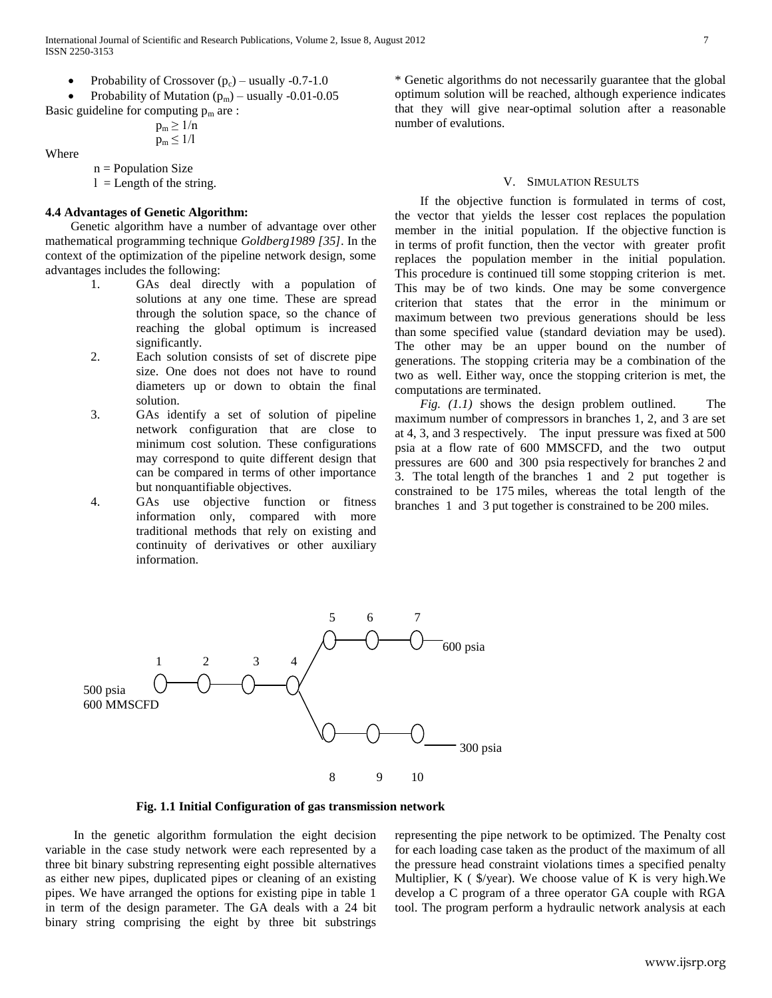Probability of Crossover  $(p_c)$  – usually -0.7-1.0

Probability of Mutation  $(p_m)$  – usually -0.01-0.05 Basic guideline for computing  $p_m$  are :

$$
p_m \ge 1/n
$$
  

$$
p_m \le 1/l
$$

Where

 $n =$  Population Size  $l =$ Length of the string.

# **4.4 Advantages of Genetic Algorithm:**

 Genetic algorithm have a number of advantage over other mathematical programming technique *Goldberg1989 [35]*. In the context of the optimization of the pipeline network design, some advantages includes the following:

- 1. GAs deal directly with a population of solutions at any one time. These are spread through the solution space, so the chance of reaching the global optimum is increased significantly.
- 2. Each solution consists of set of discrete pipe size. One does not does not have to round diameters up or down to obtain the final solution.
- 3. GAs identify a set of solution of pipeline network configuration that are close to minimum cost solution. These configurations may correspond to quite different design that can be compared in terms of other importance but nonquantifiable objectives.
- 4. GAs use objective function or fitness information only, compared with more traditional methods that rely on existing and continuity of derivatives or other auxiliary information.

5 6 7

1 2 3 4

 500 psia 600 MMSCFD

 $\overline{\mathcal{N}}$   $\overline{\mathcal{N}}$   $\overline{\mathcal{N}}$  600 psia

\* Genetic algorithms do not necessarily guarantee that the global optimum solution will be reached, although experience indicates that they will give near-optimal solution after a reasonable number of evalutions.

#### V. SIMULATION RESULTS

 If the objective function is formulated in terms of cost, the vector that yields the lesser cost replaces the population member in the initial population. If the objective function is in terms of profit function, then the vector with greater profit replaces the population member in the initial population. This procedure is continued till some stopping criterion is met. This may be of two kinds. One may be some convergence criterion that states that the error in the minimum or maximum between two previous generations should be less than some specified value (standard deviation may be used). The other may be an upper bound on the number of generations. The stopping criteria may be a combination of the two as well. Either way, once the stopping criterion is met, the computations are terminated.

 *Fig. (1.1)* shows the design problem outlined. The maximum number of compressors in branches 1, 2, and 3 are set at 4, 3, and 3 respectively. The input pressure was fixed at 500 psia at a flow rate of 600 MMSCFD, and the two output pressures are 600 and 300 psia respectively for branches 2 and 3. The total length of the branches 1 and 2 put together is constrained to be 175 miles, whereas the total length of the branches 1 and 3 put together is constrained to be 200 miles.



**Fig. 1.1 Initial Configuration of gas transmission network**

 In the genetic algorithm formulation the eight decision variable in the case study network were each represented by a three bit binary substring representing eight possible alternatives as either new pipes, duplicated pipes or cleaning of an existing pipes. We have arranged the options for existing pipe in table 1 in term of the design parameter. The GA deals with a 24 bit binary string comprising the eight by three bit substrings representing the pipe network to be optimized. The Penalty cost for each loading case taken as the product of the maximum of all the pressure head constraint violations times a specified penalty Multiplier, K ( \$/year). We choose value of K is very high.We develop a C program of a three operator GA couple with RGA tool. The program perform a hydraulic network analysis at each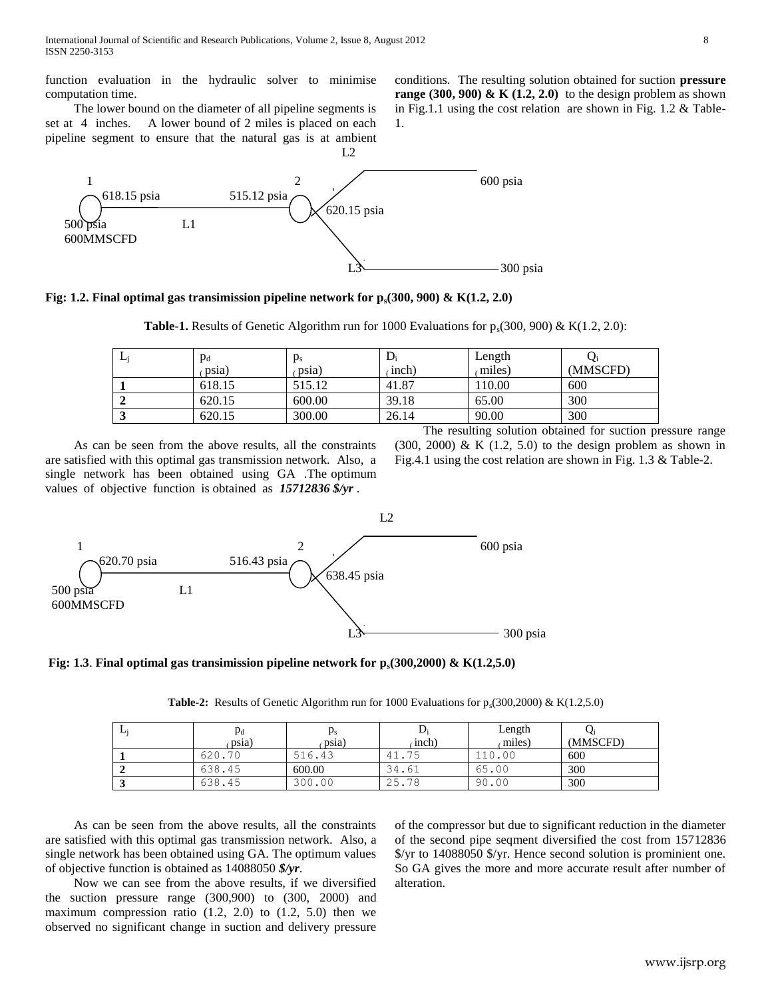function evaluation in the hydraulic solver to minimise computation time.

 The lower bound on the diameter of all pipeline segments is set at 4 inches. A lower bound of 2 miles is placed on each pipeline segment to ensure that the natural gas is at ambient conditions. The resulting solution obtained for suction **pressure range (300, 900) & K (1.2, 2.0)** to the design problem as shown in Fig.1.1 using the cost relation are shown in Fig. 1.2 & Table-1.



**Fig: 1.2. Final optimal gas transimission pipeline network for ps(300, 900) & K(1.2, 2.0)**

**Table-1.** Results of Genetic Algorithm run for 1000 Evaluations for  $p_s(300, 900)$  & K(1.2, 2.0):

| تمسل | $p_d$<br>psia) | $p_{s}$<br>psia) | υ,<br>inch) | Length<br>miles) | (MMSCFD) |
|------|----------------|------------------|-------------|------------------|----------|
|      | 618.15         | 515.12           | 41.87       | 110.00           | 600      |
|      | 620.15         | 600.00           | 39.18       | 65.00            | 300      |
|      | 620.15         | 300.00           | 26.14       | 90.00            | 300      |

 As can be seen from the above results, all the constraints are satisfied with this optimal gas transmission network. Also, a single network has been obtained using GA .The optimum values of objective function is obtained as *15712836 \$/yr* .

 The resulting solution obtained for suction pressure range  $(300, 2000)$  & K  $(1.2, 5.0)$  to the design problem as shown in Fig.4.1 using the cost relation are shown in Fig. 1.3 & Table-2.



**Fig: 1.3**. **Final optimal gas transimission pipeline network for ps(300,2000) & K(1.2,5.0)**

Table-2: Results of Genetic Algorithm run for 1000 Evaluations for p<sub>s</sub>(300,2000) & K(1.2,5.0)

| ∸ | $p_d$<br>psia) | Ρs<br>psia) | υ<br>inch) | Length<br>miles) | (MMSCFD) |
|---|----------------|-------------|------------|------------------|----------|
|   | 620.70         | 516.43      | 41.        | 110.00           | 600      |
|   | 638.45         | 600.00      | 34.61      | 65.00            | 300      |
| ູ | 638.45         | 300.00      | 25.78      | 90.00            | 300      |

 As can be seen from the above results, all the constraints are satisfied with this optimal gas transmission network. Also, a single network has been obtained using GA. The optimum values of objective function is obtained as 14088050 *\$/yr*.

 Now we can see from the above results, if we diversified the suction pressure range (300,900) to (300, 2000) and maximum compression ratio  $(1.2, 2.0)$  to  $(1.2, 5.0)$  then we observed no significant change in suction and delivery pressure of the compressor but due to significant reduction in the diameter of the second pipe seqment diversified the cost from 15712836 \$/yr to 14088050 \$/yr. Hence second solution is prominient one. So GA gives the more and more accurate result after number of alteration.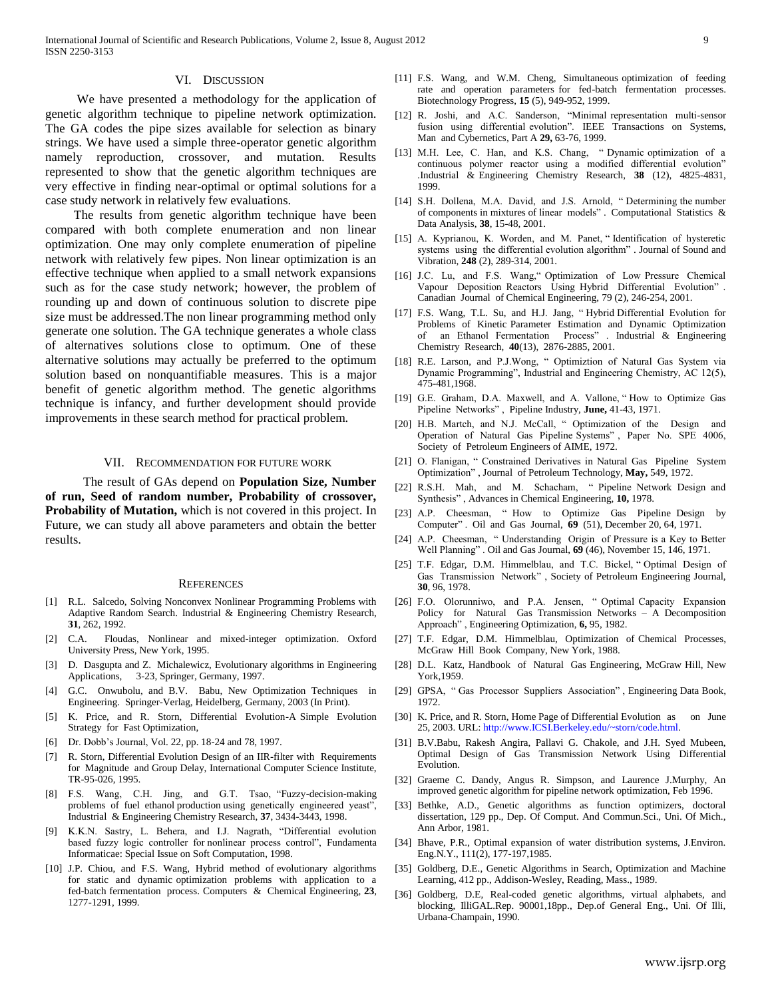# VI. DISCUSSION

 We have presented a methodology for the application of genetic algorithm technique to pipeline network optimization. The GA codes the pipe sizes available for selection as binary strings. We have used a simple three-operator genetic algorithm namely reproduction, crossover, and mutation. Results represented to show that the genetic algorithm techniques are very effective in finding near-optimal or optimal solutions for a case study network in relatively few evaluations.

 The results from genetic algorithm technique have been compared with both complete enumeration and non linear optimization. One may only complete enumeration of pipeline network with relatively few pipes. Non linear optimization is an effective technique when applied to a small network expansions such as for the case study network; however, the problem of rounding up and down of continuous solution to discrete pipe size must be addressed.The non linear programming method only generate one solution. The GA technique generates a whole class of alternatives solutions close to optimum. One of these alternative solutions may actually be preferred to the optimum solution based on nonquantifiable measures. This is a major benefit of genetic algorithm method. The genetic algorithms technique is infancy, and further development should provide improvements in these search method for practical problem.

# VII. RECOMMENDATION FOR FUTURE WORK

 The result of GAs depend on **Population Size, Number of run, Seed of random number, Probability of crossover, Probability of Mutation,** which is not covered in this project. In Future, we can study all above parameters and obtain the better results.

#### **REFERENCES**

- [1] R.L. Salcedo, Solving Nonconvex Nonlinear Programming Problems with Adaptive Random Search. Industrial & Engineering Chemistry Research, **31**, 262, 1992.
- [2] C.A. Floudas, Nonlinear and mixed-integer optimization. Oxford University Press, New York, 1995.
- [3] D. Dasgupta and Z. Michalewicz, Evolutionary algorithms in Engineering Applications, 3-23, Springer, Germany, 1997.
- [4] G.C. Onwubolu, and B.V. Babu, New Optimization Techniques in Engineering. Springer-Verlag, Heidelberg, Germany, 2003 (In Print).
- [5] K. Price, and R. Storn, Differential Evolution-A Simple Evolution Strategy for Fast Optimization,
- [6] Dr. Dobb's Journal, Vol. 22, pp. 18-24 and 78, 1997.
- [7] R. Storn, Differential Evolution Design of an IIR-filter with Requirements for Magnitude and Group Delay, International Computer Science Institute, TR-95-026, 1995.
- [8] F.S. Wang, C.H. Jing, and G.T. Tsao, "Fuzzy-decision-making problems of fuel ethanol production using genetically engineered yeast", Industrial & Engineering Chemistry Research, **37**, 3434-3443, 1998.
- K.K.N. Sastry, L. Behera, and I.J. Nagrath, "Differential evolution based fuzzy logic controller for nonlinear process control", Fundamenta Informaticae: Special Issue on Soft Computation, 1998.
- [10] J.P. Chiou, and F.S. Wang, Hybrid method of evolutionary algorithms for static and dynamic optimization problems with application to a fed-batch fermentation process. Computers & Chemical Engineering, **23**, 1277-1291, 1999.
- [11] F.S. Wang, and W.M. Cheng, Simultaneous optimization of feeding rate and operation parameters for fed-batch fermentation processes. Biotechnology Progress, **15** (5), 949-952, 1999.
- [12] R. Joshi, and A.C. Sanderson, "Minimal representation multi-sensor fusion using differential evolution". IEEE Transactions on Systems, Man and Cybernetics, Part A **29,** 63-76, 1999.
- [13] M.H. Lee, C. Han, and K.S. Chang, " Dynamic optimization of a continuous polymer reactor using a modified differential evolution" .Industrial & Engineering Chemistry Research, **38** (12), 4825-4831, 1999.
- [14] S.H. Dollena, M.A. David, and J.S. Arnold, "Determining the number of components in mixtures of linear models" . Computational Statistics & Data Analysis, **38**, 15-48, 2001.
- [15] A. Kyprianou, K. Worden, and M. Panet, " Identification of hysteretic systems using the differential evolution algorithm" . Journal of Sound and Vibration, **248** (2), 289-314, 2001.
- [16] J.C. Lu, and F.S. Wang," Optimization of Low Pressure Chemical Vapour Deposition Reactors Using Hybrid Differential Evolution" . Canadian Journal of Chemical Engineering, 79 (2), 246-254, 2001.
- [17] F.S. Wang, T.L. Su, and H.J. Jang, "Hybrid Differential Evolution for Problems of Kinetic Parameter Estimation and Dynamic Optimization of an Ethanol Fermentation Process" . Industrial & Engineering Chemistry Research, **40**(13), 2876-2885, 2001.
- [18] R.E. Larson, and P.J.Wong, " Optimiztion of Natural Gas System via Dynamic Programming", Industrial and Engineering Chemistry, AC 12(5), 475-481,1968.
- [19] G.E. Graham, D.A. Maxwell, and A. Vallone, "How to Optimize Gas Pipeline Networks" , Pipeline Industry, **June,** 41-43, 1971.
- [20] H.B. Martch, and N.J. McCall, " Optimization of the Design and Operation of Natural Gas Pipeline Systems" , Paper No. SPE 4006, Society of Petroleum Engineers of AIME, 1972.
- [21] O. Flanigan, " Constrained Derivatives in Natural Gas Pipeline System Optimization" , Journal of Petroleum Technology, **May,** 549, 1972.
- [22] R.S.H. Mah, and M. Schacham, " Pipeline Network Design and Synthesis" , Advances in Chemical Engineering, **10,** 1978.
- [23] A.P. Cheesman, " How to Optimize Gas Pipeline Design by Computer" . Oil and Gas Journal, **69** (51), December 20, 64, 1971.
- [24] A.P. Cheesman, " Understanding Origin of Pressure is a Key to Better Well Planning" . Oil and Gas Journal, **69** (46), November 15, 146, 1971.
- [25] T.F. Edgar, D.M. Himmelblau, and T.C. Bickel, " Optimal Design of Gas Transmission Network" , Society of Petroleum Engineering Journal, **30**, 96, 1978.
- [26] F.O. Olorunniwo, and P.A. Jensen, " Optimal Capacity Expansion Policy for Natural Gas Transmission Networks – A Decomposition Approach" , Engineering Optimization, **6,** 95, 1982.
- [27] T.F. Edgar, D.M. Himmelblau, Optimization of Chemical Processes, McGraw Hill Book Company, New York, 1988.
- [28] D.L. Katz, Handbook of Natural Gas Engineering, McGraw Hill, New York,1959.
- [29] GPSA, " Gas Processor Suppliers Association", Engineering Data Book, 1972.
- [30] K. Price, and R. Storn, Home Page of Differential Evolution as on June 25, 2003. URL: http[://www.ICSI.Berkeley.edu/~storn/code.html.](www.ICSI.Berkeley.edu/~storn/code.html)
- [31] B.V.Babu, Rakesh Angira, Pallavi G. Chakole, and J.H. Syed Mubeen, Optimal Design of Gas Transmission Network Using Differential Evolution.
- [32] Graeme C. Dandy, Angus R. Simpson, and Laurence J.Murphy, An improved genetic algorithm for pipeline network optimization, Feb 1996.
- [33] Bethke, A.D., Genetic algorithms as function optimizers, doctoral dissertation, 129 pp., Dep. Of Comput. And Commun.Sci., Uni. Of Mich., Ann Arbor, 1981.
- [34] Bhave, P.R., Optimal expansion of water distribution systems, J.Environ. Eng.N.Y., 111(2), 177-197,1985.
- [35] Goldberg, D.E., Genetic Algorithms in Search, Optimization and Machine Learning, 412 pp., Addison-Wesley, Reading, Mass., 1989.
- [36] Goldberg, D.E, Real-coded genetic algorithms, virtual alphabets, and blocking, IlliGAL.Rep. 90001,18pp., Dep.of General Eng., Uni. Of Illi, Urbana-Champain, 1990.